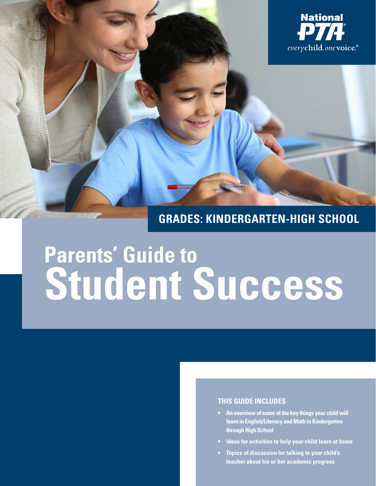

#### **THIS GUIDE INCLUDES**

- **• An overview of some of the key things your child will learn in English/Literacy and Math in Kindergarten through High School**
- **• Ideas for activities to help your child learn at home**
- **• Topics of discussion for talking to your child's teacher about his or her academic progress**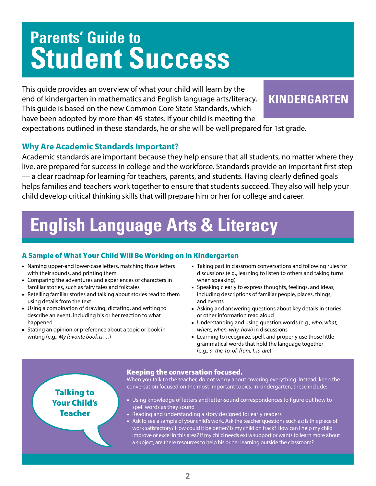This guide provides an overview of what your child will learn by the end of kindergarten in mathematics and English language arts/literacy. This guide is based on the new Common Core State Standards, which have been adopted by more than 45 states. If your child is meeting the

### **KINDERGARTEN**

expectations outlined in these standards, he or she will be well prepared for 1st grade.

### **Why Are Academic Standards Important?**

Academic standards are important because they help ensure that all students, no matter where they live, are prepared for success in college and the workforce. Standards provide an important first step — a clear roadmap for learning for teachers, parents, and students. Having clearly defined goals helps families and teachers work together to ensure that students succeed. They also will help your child develop critical thinking skills that will prepare him or her for college and career.

## **English Language Arts & Literacy**

### A Sample of What Your Child Will Be Working on in Kindergarten

- Naming upper-and lower-case letters, matching those letters with their sounds, and printing them
- Comparing the adventures and experiences of characters in familiar stories, such as fairy tales and folktales
- Retelling familiar stories and talking about stories read to them using details from the text
- Using a combination of drawing, dictating, and writing to describe an event, including his or her reaction to what happened
- Stating an opinion or preference about a topic or book in writing (e.g., *My favorite book is . .* .)
- Taking part in classroom conversations and following rules for discussions (e.g., learning to listen to others and taking turns when speaking)
- Speaking clearly to express thoughts, feelings, and ideas, including descriptions of familiar people, places, things, and events
- Asking and answering questions about key details in stories or other information read aloud
- Understanding and using question words (e.g., *who, what, where, when, why, how*) in discussions
- Learning to recognize, spell, and properly use those little grammatical words that hold the language together (e.g., *a, the, to, of, from, I, is, are*)

### Talking to Your Child's Teacher

#### Keeping the conversation focused.

When you talk to the teacher, do not worry about covering everything. Instead, keep the conversation focused on the most important topics. In kindergarten, these include:

- Using knowledge of letters and letter-sound correspondences to figure out how to spell words as they sound
- Reading and understanding a story designed for early readers
- Ask to see a sample of your child's work. Ask the teacher questions such as: Is this piece of work satisfactory? How could it be better? Is my child on track? How can I help my child improve or excel in this area? If my child needs extra support or wants to learn more about a subject, are there resources to help his or her learning outside the classroom?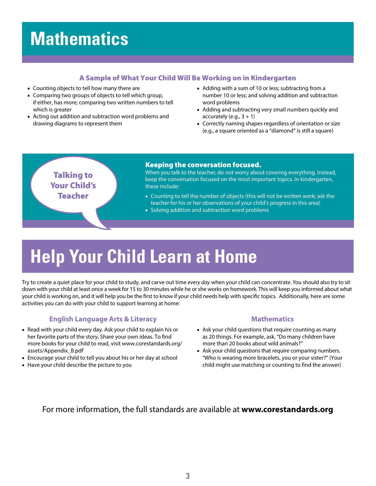#### A Sample of What Your Child Will Be Working on in Kindergarten

- Counting objects to tell how many there are
- Comparing two groups of objects to tell which group, if either, has more; comparing two written numbers to tell which is greater
- Acting out addition and subtraction word problems and drawing diagrams to represent them
- Adding with a sum of 10 or less; subtracting from a number 10 or less; and solving addition and subtraction word problems
- Adding and subtracting very small numbers quickly and accurately (e.g.,  $3 + 1$ )
- Correctly naming shapes regardless of orientation or size (e.g., a square oriented as a "diamond" is still a square)

### Talking to Your Child's Teacher

#### Keeping the conversation focused.

When you talk to the teacher, do not worry about covering everything. Instead, keep the conversation focused on the most important topics. In kindergarten, these include:

- Counting to tell the number of objects (this will not be written work; ask the teacher for his or her observations of your child's progress in this area)
- Solving addition and subtraction word problems

# **Help Your Child Learn at Home**

Try to create a quiet place for your child to study, and carve out time *every day* when your child can concentrate. You should also try to sit down with your child at least once a week for 15 to 30 minutes while he or she works on homework. This will keep you informed about what your child is working on, and it will help you be the first to know if your child needs help with specific topics. Additionally, here are some activities you can do with your child to support learning at home:

#### **English Language Arts & Literacy**

- Read with your child every day. Ask your child to explain his or her favorite parts of the story. Share your own ideas. To find more books for your child to read, visit www.corestandards.org/ assets/Appendix\_B.pdf
- Encourage your child to tell you about his or her day at school
- Have your child describe the picture to you

#### **Mathematics**

- Ask your child questions that require counting as many as 20 things. For example, ask, "Do many children have more than 20 books about wild animals?"
- Ask your child questions that require comparing numbers. "Who is wearing more bracelets, you or your sister?" (Your child might use matching or counting to find the answer)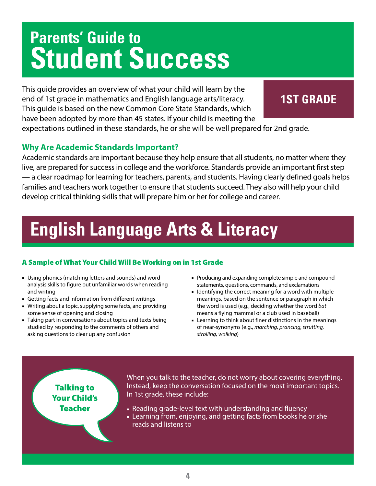This guide provides an overview of what your child will learn by the end of 1st grade in mathematics and English language arts/literacy. This guide is based on the new Common Core State Standards, which have been adopted by more than 45 states. If your child is meeting the

### **1ST GRADE**

expectations outlined in these standards, he or she will be well prepared for 2nd grade.

### **Why Are Academic Standards Important?**

Academic standards are important because they help ensure that all students, no matter where they live, are prepared for success in college and the workforce. Standards provide an important first step — a clear roadmap for learning for teachers, parents, and students. Having clearly defined goals helps families and teachers work together to ensure that students succeed. They also will help your child develop critical thinking skills that will prepare him or her for college and career.

# **English Language Arts & Literacy**

### A Sample of What Your Child Will Be Working on in 1st Grade

- Using phonics (matching letters and sounds) and word analysis skills to figure out unfamiliar words when reading and writing
- Getting facts and information from different writings
- Writing about a topic, supplying some facts, and providing some sense of opening and closing
- Taking part in conversations about topics and texts being studied by responding to the comments of others and asking questions to clear up any confusion
- Producing and expanding complete simple and compound statements, questions, commands, and exclamations
- Identifying the correct meaning for a word with multiple meanings, based on the sentence or paragraph in which the word is used (e.g., deciding whether the word *bat* means a flying mammal or a club used in baseball)
- Learning to think about finer distinctions in the meanings of near-synonyms (e.g., *marching, prancing, strutting, strolling, walking*)

Talking to Your Child's Teacher

When you talk to the teacher, do not worry about covering everything. Instead, keep the conversation focused on the most important topics. In 1st grade, these include:

- Reading grade-level text with understanding and fluency
- Learning from, enjoying, and getting facts from books he or she reads and listens to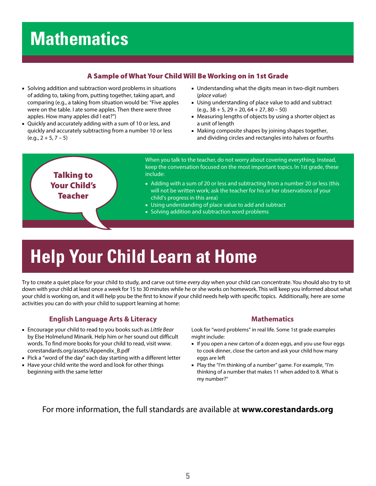#### A Sample of What Your Child Will Be Working on in 1st Grade

- Solving addition and subtraction word problems in situations of adding to, taking from, putting together, taking apart, and comparing (e.g., a taking from situation would be: "Five apples were on the table. I ate some apples. Then there were three apples. How many apples did I eat?")
- Quickly and accurately adding with a sum of 10 or less, and quickly and accurately subtracting from a number 10 or less  $(e.g., 2 + 5, 7 - 5)$
- Understanding what the digits mean in two-digit numbers (*place value*)
- Using understanding of place value to add and subtract  $(e.q., 38 + 5, 29 + 20, 64 + 27, 80 - 50)$
- Measuring lengths of objects by using a shorter object as a unit of length
- Making composite shapes by joining shapes together, and dividing circles and rectangles into halves or fourths



# **Help Your Child Learn at Home**

Try to create a quiet place for your child to study, and carve out time *every day* when your child can concentrate. You should also try to sit down with your child at least once a week for 15 to 30 minutes while he or she works on homework. This will keep you informed about what your child is working on, and it will help you be the first to know if your child needs help with specific topics. Additionally, here are some activities you can do with your child to support learning at home:

#### **English Language Arts & Literacy**

- Encourage your child to read to you books such as *Little Bear* by Else Holmelund Minarik. Help him or her sound out difficult words. To find more books for your child to read, visit www. corestandards.org/assets/Appendix\_B.pdf
- Pick a "word of the day" each day starting with a different letter
- Have your child write the word and look for other things beginning with the same letter

#### **Mathematics**

Look for "word problems" in real life. Some 1st grade examples might include:

- If you open a new carton of a dozen eggs, and you use four eggs to cook dinner, close the carton and ask your child how many eggs are left
- Play the "I'm thinking of a number" game. For example, "I'm thinking of a number that makes 11 when added to 8. What is my number?"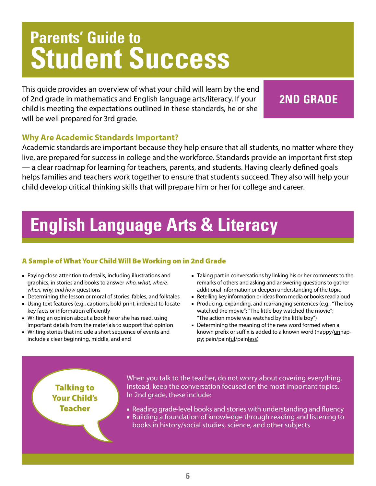This guide provides an overview of what your child will learn by the end of 2nd grade in mathematics and English language arts/literacy. If your child is meeting the expectations outlined in these standards, he or she will be well prepared for 3rd grade.

### **2ND GRADE**

### **Why Are Academic Standards Important?**

Academic standards are important because they help ensure that all students, no matter where they live, are prepared for success in college and the workforce. Standards provide an important first step — a clear roadmap for learning for teachers, parents, and students. Having clearly defined goals helps families and teachers work together to ensure that students succeed. They also will help your child develop critical thinking skills that will prepare him or her for college and career.

### **English Language Arts & Literacy**

### A Sample of What Your Child Will Be Working on in 2nd Grade

- Paying close attention to details, including illustrations and graphics, in stories and books to answer *who, what, where, when, why, and how* questions
- Determining the lesson or moral of stories, fables, and folktales
- Using text features (e.g., captions, bold print, indexes) to locate key facts or information efficiently
- Writing an opinion about a book he or she has read, using important details from the materials to support that opinion
- Writing stories that include a short sequence of events and include a clear beginning, middle, and end
- Taking part in conversations by linking his or her comments to the remarks of others and asking and answering questions to gather additional information or deepen understanding of the topic
- Retelling key information or ideas from media or books read aloud
- Producing, expanding, and rearranging sentences (e.g., "The boy watched the movie"; "The little boy watched the movie"; "The action movie was watched by the little boy")
- Determining the meaning of the new word formed when a known prefix or suffix is added to a known word (happy/unhappy; pain/painful/painless)

### Talking to Your Child's Teacher

When you talk to the teacher, do not worry about covering everything. Instead, keep the conversation focused on the most important topics. In 2nd grade, these include:

- Reading grade-level books and stories with understanding and fluency
- Building a foundation of knowledge through reading and listening to books in history/social studies, science, and other subjects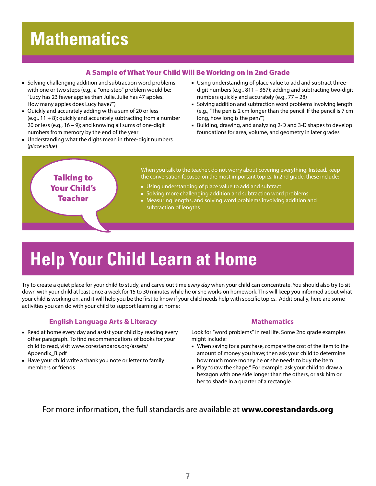#### A Sample of What Your Child Will Be Working on in 2nd Grade

- Solving challenging addition and subtraction word problems with one or two steps (e.g., a "one-step" problem would be: "Lucy has 23 fewer apples than Julie. Julie has 47 apples. How many apples does Lucy have?")
- Quickly and accurately adding with a sum of 20 or less  $(e.q., 11 + 8)$ ; quickly and accurately subtracting from a number 20 or less (e.g.,  $16 - 9$ ); and knowing all sums of one-digit numbers from memory by the end of the year
- Understanding what the digits mean in three-digit numbers (*place value*)
- Using understanding of place value to add and subtract threedigit numbers (e.g., 811 – 367); adding and subtracting two-digit numbers quickly and accurately (e.g., 77 – 28)
- Solving addition and subtraction word problems involving length (e.g., "The pen is 2 cm longer than the pencil. If the pencil is 7 cm long, how long is the pen?")
- Building, drawing, and analyzing 2-D and 3-D shapes to develop foundations for area, volume, and geometry in later grades

### Talking to Your Child's **Teacher**

When you talk to the teacher, do not worry about covering everything. Instead, keep the conversation focused on the most important topics. In 2nd grade, these include:

- Using understanding of place value to add and subtract
- Solving more challenging addition and subtraction word problems
- Measuring lengths, and solving word problems involving addition and subtraction of lengths

# **Help Your Child Learn at Home**

Try to create a quiet place for your child to study, and carve out time *every day* when your child can concentrate. You should also try to sit down with your child at least once a week for 15 to 30 minutes while he or she works on homework. This will keep you informed about what your child is working on, and it will help you be the first to know if your child needs help with specific topics. Additionally, here are some activities you can do with your child to support learning at home:

#### **English Language Arts & Literacy**

- Read at home every day and assist your child by reading every other paragraph. To find recommendations of books for your child to read, visit www.corestandards.org/assets/ Appendix\_B.pdf
- Have your child write a thank you note or letter to family members or friends

#### **Mathematics**

Look for "word problems" in real life. Some 2nd grade examples might include:

- When saving for a purchase, compare the cost of the item to the amount of money you have; then ask your child to determine how much more money he or she needs to buy the item
- Play "draw the shape." For example, ask your child to draw a hexagon with one side longer than the others, or ask him or her to shade in a quarter of a rectangle.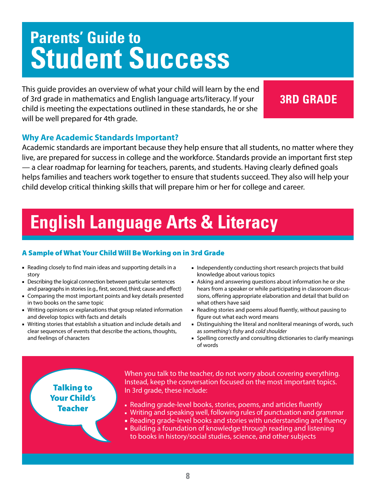This guide provides an overview of what your child will learn by the end of 3rd grade in mathematics and English language arts/literacy. If your child is meeting the expectations outlined in these standards, he or she will be well prepared for 4th grade.

### **3RD GRADE**

### **Why Are Academic Standards Important?**

Academic standards are important because they help ensure that all students, no matter where they live, are prepared for success in college and the workforce. Standards provide an important first step — a clear roadmap for learning for teachers, parents, and students. Having clearly defined goals helps families and teachers work together to ensure that students succeed. They also will help your child develop critical thinking skills that will prepare him or her for college and career.

## **English Language Arts & Literacy**

### A Sample of What Your Child Will Be Working on in 3rd Grade

- Reading closely to find main ideas and supporting details in a story
- Describing the logical connection between particular sentences and paragraphs in stories (e.g., first, second, third; cause and effect)
- Comparing the most important points and key details presented in two books on the same topic
- Writing opinions or explanations that group related information and develop topics with facts and details
- Writing stories that establish a situation and include details and clear sequences of events that describe the actions, thoughts, and feelings of characters
- Independently conducting short research projects that build knowledge about various topics
- Asking and answering questions about information he or she hears from a speaker or while participating in classroom discussions, offering appropriate elaboration and detail that build on what others have said
- Reading stories and poems aloud fluently, without pausing to figure out what each word means
- Distinguishing the literal and nonliteral meanings of words, such as *something's fishy* and *cold shoulder*
- Spelling correctly and consulting dictionaries to clarify meanings of words

Talking to Your Child's Teacher

When you talk to the teacher, do not worry about covering everything. Instead, keep the conversation focused on the most important topics. In 3rd grade, these include:

- Reading grade-level books, stories, poems, and articles fluently
- Writing and speaking well, following rules of punctuation and grammar
- Reading grade-level books and stories with understanding and fluency
- Building a foundation of knowledge through reading and listening to books in history/social studies, science, and other subjects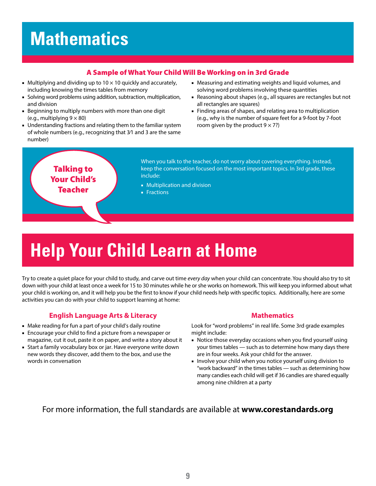#### A Sample of What Your Child Will Be Working on in 3rd Grade

- Multiplying and dividing up to  $10 \times 10$  quickly and accurately, including knowing the times tables from memory
- Solving word problems using addition, subtraction, multiplication, and division
- Beginning to multiply numbers with more than one digit (e.g., multiplying  $9 \times 80$ )
- Understanding fractions and relating them to the familiar system of whole numbers (e.g., recognizing that 3⁄1 and 3 are the same number)
- Measuring and estimating weights and liquid volumes, and solving word problems involving these quantities
- Reasoning about shapes (e.g., all squares are rectangles but not all rectangles are squares)
- Finding areas of shapes, and relating area to multiplication (e.g., why is the number of square feet for a 9-foot by 7-foot room given by the product  $9 \times 7$ ?)

Talking to Your Child's Teacher

When you talk to the teacher, do not worry about covering everything. Instead, keep the conversation focused on the most important topics. In 3rd grade, these include:

- Multiplication and division
- Fractions

# **Help Your Child Learn at Home**

Try to create a quiet place for your child to study, and carve out time *every day* when your child can concentrate. You should also try to sit down with your child at least once a week for 15 to 30 minutes while he or she works on homework. This will keep you informed about what your child is working on, and it will help you be the first to know if your child needs help with specific topics. Additionally, here are some activities you can do with your child to support learning at home:

#### **English Language Arts & Literacy**

- Make reading for fun a part of your child's daily routine
- Encourage your child to find a picture from a newspaper or magazine, cut it out, paste it on paper, and write a story about it
- Start a family vocabulary box or jar. Have everyone write down new words they discover, add them to the box, and use the words in conversation

#### **Mathematics**

Look for "word problems" in real life. Some 3rd grade examples might include:

- Notice those everyday occasions when you find yourself using your times tables — such as to determine how many days there are in four weeks. Ask your child for the answer.
- Involve your child when you notice yourself using division to "work backward" in the times tables — such as determining how many candies each child will get if 36 candies are shared equally among nine children at a party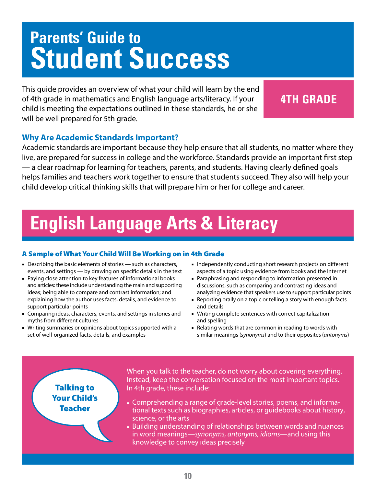This guide provides an overview of what your child will learn by the end of 4th grade in mathematics and English language arts/literacy. If your child is meeting the expectations outlined in these standards, he or she will be well prepared for 5th grade.

### **4TH GRADE**

### **Why Are Academic Standards Important?**

Academic standards are important because they help ensure that all students, no matter where they live, are prepared for success in college and the workforce. Standards provide an important first step — a clear roadmap for learning for teachers, parents, and students. Having clearly defined goals helps families and teachers work together to ensure that students succeed. They also will help your child develop critical thinking skills that will prepare him or her for college and career.

## **English Language Arts & Literacy**

#### A Sample of What Your Child Will Be Working on in 4th Grade

- Describing the basic elements of stories such as characters, events, and settings — by drawing on specific details in the text
- Paying close attention to key features of informational books and articles: these include understanding the main and supporting ideas; being able to compare and contrast information; and explaining how the author uses facts, details, and evidence to support particular points
- Comparing ideas, characters, events, and settings in stories and myths from different cultures
- Writing summaries or opinions about topics supported with a set of well-organized facts, details, and examples
- Independently conducting short research projects on different aspects of a topic using evidence from books and the Internet
- Paraphrasing and responding to information presented in discussions, such as comparing and contrasting ideas and analyzing evidence that speakers use to support particular points
- Reporting orally on a topic or telling a story with enough facts and details
- Writing complete sentences with correct capitalization and spelling
- Relating words that are common in reading to words with similar meanings (*synonyms*) and to their opposites (*antonyms*)

Talking to Your Child's Teacher

When you talk to the teacher, do not worry about covering everything. Instead, keep the conversation focused on the most important topics. In 4th grade, these include:

- Comprehending a range of grade-level stories, poems, and informational texts such as biographies, articles, or guidebooks about history, science, or the arts
- Building understanding of relationships between words and nuances in word meanings—*synonyms, antonyms, idioms*—and using this knowledge to convey ideas precisely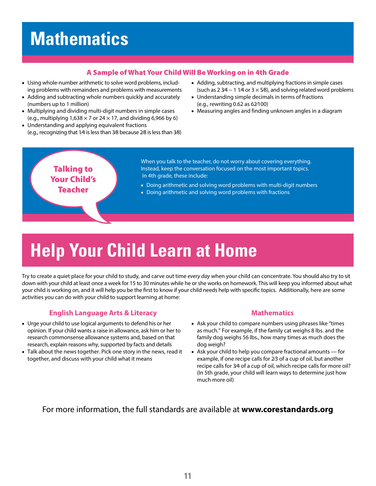#### A Sample of What Your Child Will Be Working on in 4th Grade

- Using whole-number arithmetic to solve word problems, including problems with remainders and problems with measurements
- Adding and subtracting whole numbers quickly and accurately (numbers up to 1 million)
- Multiplying and dividing multi-digit numbers in simple cases (e.g., multiplying  $1,638 \times 7$  or  $24 \times 17$ , and dividing 6,966 by 6)
- Understanding and applying equivalent fractions (e.g., recognizing that 1⁄4 is less than 3⁄8 because 2⁄8 is less than 3⁄8)
- Adding, subtracting, and multiplying fractions in simple cases (such as  $2 \frac{3}{4} - 1 \frac{1}{4}$  or  $3 \times 5/8$ ), and solving related word problems
- Understanding simple decimals in terms of fractions (e.g., rewriting 0.62 as 62⁄100)
- Measuring angles and finding unknown angles in a diagram

### Talking to Your Child's Teacher

When you talk to the teacher, do not worry about covering everything. Instead, keep the conversation focused on the most important topics. In 4th grade, these include:

- Doing arithmetic and solving word problems with multi-digit numbers
- Doing arithmetic and solving word problems with fractions

# **Help Your Child Learn at Home**

Try to create a quiet place for your child to study, and carve out time *every day* when your child can concentrate. You should also try to sit down with your child at least once a week for 15 to 30 minutes while he or she works on homework. This will keep you informed about what your child is working on, and it will help you be the first to know if your child needs help with specific topics. Additionally, here are some activities you can do with your child to support learning at home:

#### **English Language Arts & Literacy**

- Urge your child to use logical arguments to defend his or her opinion. If your child wants a raise in allowance, ask him or her to research commonsense allowance systems and, based on that research, explain reasons why, supported by facts and details
- Talk about the news together. Pick one story in the news, read it together, and discuss with your child what it means

#### **Mathematics**

- Ask your child to compare numbers using phrases like "times as much." For example, if the family cat weighs 8 lbs. and the family dog weighs 56 lbs., how many times as much does the dog weigh?
- Ask your child to help you compare fractional amounts for example, if one recipe calls for 2⁄3 of a cup of oil, but another recipe calls for 3⁄4 of a cup of oil, which recipe calls for more oil? (In 5th grade, your child will learn ways to determine just how much more oil)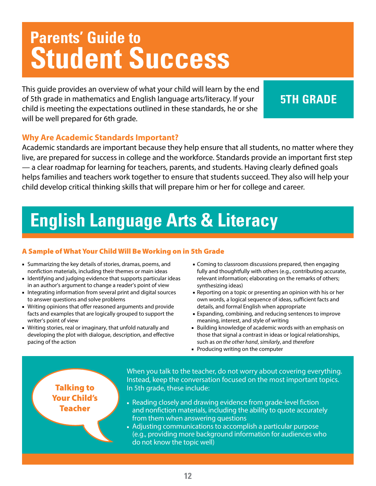This guide provides an overview of what your child will learn by the end of 5th grade in mathematics and English language arts/literacy. If your child is meeting the expectations outlined in these standards, he or she will be well prepared for 6th grade.

### **5TH GRADE**

### **Why Are Academic Standards Important?**

Academic standards are important because they help ensure that all students, no matter where they live, are prepared for success in college and the workforce. Standards provide an important first step — a clear roadmap for learning for teachers, parents, and students. Having clearly defined goals helps families and teachers work together to ensure that students succeed. They also will help your child develop critical thinking skills that will prepare him or her for college and career.

## **English Language Arts & Literacy**

### A Sample of What Your Child Will Be Working on in 5th Grade

- Summarizing the key details of stories, dramas, poems, and nonfiction materials, including their themes or main ideas
- Identifying and judging evidence that supports particular ideas in an author's argument to change a reader's point of view
- Integrating information from several print and digital sources to answer questions and solve problems
- Writing opinions that offer reasoned arguments and provide facts and examples that are logically grouped to support the writer's point of view
- Writing stories, real or imaginary, that unfold naturally and developing the plot with dialogue, description, and effective pacing of the action
- Coming to classroom discussions prepared, then engaging fully and thoughtfully with others (e.g., contributing accurate, relevant information; elaborating on the remarks of others; synthesizing ideas)
- Reporting on a topic or presenting an opinion with his or her own words, a logical sequence of ideas, sufficient facts and details, and formal English when appropriate
- Expanding, combining, and reducing sentences to improve meaning, interest, and style of writing
- Building knowledge of academic words with an emphasis on those that signal a contrast in ideas or logical relationships, such as *on the other hand*, *similarly*, and *therefore*
- Producing writing on the computer

### Talking to Your Child's **Teacher**

When you talk to the teacher, do not worry about covering everything. Instead, keep the conversation focused on the most important topics. In 5th grade, these include:

- Reading closely and drawing evidence from grade-level fiction and nonfiction materials, including the ability to quote accurately from them when answering questions
- Adjusting communications to accomplish a particular purpose (e.g., providing more background information for audiences who do not know the topic well)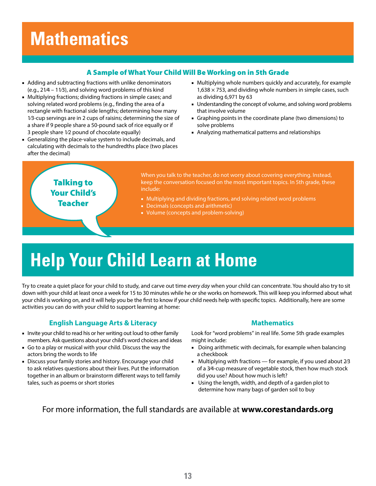#### A Sample of What Your Child Will Be Working on in 5th Grade

- Adding and subtracting fractions with unlike denominators (e.g., 21⁄4 – 11⁄3), and solving word problems of this kind
- Multiplying fractions; dividing fractions in simple cases; and solving related word problems (e.g., finding the area of a rectangle with fractional side lengths; determining how many 1⁄3-cup servings are in 2 cups of raisins; determining the size of a share if 9 people share a 50-pound sack of rice equally or if 3 people share 1⁄2 pound of chocolate equally)
- Generalizing the place-value system to include decimals, and calculating with decimals to the hundredths place (two places after the decimal)
- Multiplying whole numbers quickly and accurately, for example  $1,638 \times 753$ , and dividing whole numbers in simple cases, such as dividing 6,971 by 63
- Understanding the concept of volume, and solving word problems that involve volume
- Graphing points in the coordinate plane (two dimensions) to solve problems
- Analyzing mathematical patterns and relationships



# **Help Your Child Learn at Home**

Try to create a quiet place for your child to study, and carve out time *every day* when your child can concentrate. You should also try to sit down with your child at least once a week for 15 to 30 minutes while he or she works on homework. This will keep you informed about what your child is working on, and it will help you be the first to know if your child needs help with specific topics. Additionally, here are some activities you can do with your child to support learning at home:

#### **English Language Arts & Literacy**

- Invite your child to read his or her writing out loud to other family members. Ask questions about your child's word choices and ideas
- Go to a play or musical with your child. Discuss the way the actors bring the words to life
- Discuss your family stories and history. Encourage your child to ask relatives questions about their lives. Put the information together in an album or brainstorm different ways to tell family tales, such as poems or short stories

#### **Mathematics**

Look for "word problems" in real life. Some 5th grade examples might include:

- Doing arithmetic with decimals, for example when balancing a checkbook
- $\blacksquare$  Multiplying with fractions for example, if you used about 2/3 of a 3⁄4-cup measure of vegetable stock, then how much stock did you use? About how much is left?
- Using the length, width, and depth of a garden plot to determine how many bags of garden soil to buy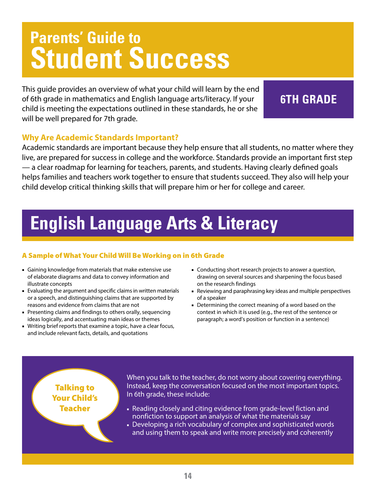This guide provides an overview of what your child will learn by the end of 6th grade in mathematics and English language arts/literacy. If your child is meeting the expectations outlined in these standards, he or she will be well prepared for 7th grade.

### **6TH GRADE**

### **Why Are Academic Standards Important?**

Academic standards are important because they help ensure that all students, no matter where they live, are prepared for success in college and the workforce. Standards provide an important first step — a clear roadmap for learning for teachers, parents, and students. Having clearly defined goals helps families and teachers work together to ensure that students succeed. They also will help your child develop critical thinking skills that will prepare him or her for college and career.

## **English Language Arts & Literacy**

### A Sample of What Your Child Will Be Working on in 6th Grade

- Gaining knowledge from materials that make extensive use of elaborate diagrams and data to convey information and illustrate concepts
- Evaluating the argument and specific claims in written materials or a speech, and distinguishing claims that are supported by reasons and evidence from claims that are not
- Presenting claims and findings to others orally, sequencing ideas logically, and accentuating main ideas or themes
- Writing brief reports that examine a topic, have a clear focus, and include relevant facts, details, and quotations
- Conducting short research projects to answer a question, drawing on several sources and sharpening the focus based on the research findings
- Reviewing and paraphrasing key ideas and multiple perspectives of a speaker
- Determining the correct meaning of a word based on the context in which it is used (e.g., the rest of the sentence or paragraph; a word's position or function in a sentence)

### Talking to Your Child's Teacher

When you talk to the teacher, do not worry about covering everything. Instead, keep the conversation focused on the most important topics. In 6th grade, these include:

- Reading closely and citing evidence from grade-level fiction and nonfiction to support an analysis of what the materials say
- Developing a rich vocabulary of complex and sophisticated words and using them to speak and write more precisely and coherently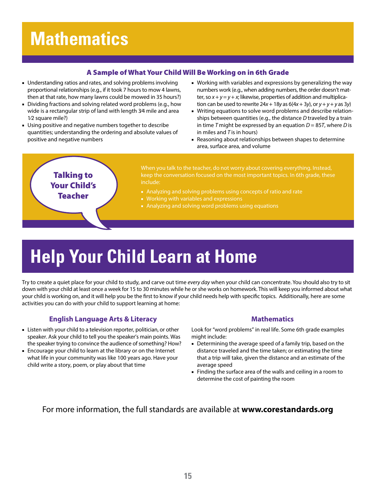#### A Sample of What Your Child Will Be Working on in 6th Grade

- Understanding ratios and rates, and solving problems involving proportional relationships (e.g., if it took 7 hours to mow 4 lawns, then at that rate, how many lawns could be mowed in 35 hours?)
- Dividing fractions and solving related word problems (e.g., how wide is a rectangular strip of land with length 3⁄4 mile and area 1⁄2 square mile?)
- Using positive and negative numbers together to describe quantities; understanding the ordering and absolute values of positive and negative numbers
- Working with variables and expressions by generalizing the way numbers work (e.g., when adding numbers, the order doesn't matter, so  $x + y = y + x$ ; likewise, properties of addition and multiplication can be used to rewrite 24*x* + 18*y* as 6(4*x* + 3*y*), or *y* + *y* + *y* as 3*y*)
- Writing equations to solve word problems and describe relationships between quantities (e.g., the distance *D* traveled by a train in time *T* might be expressed by an equation  $D = 85T$ , where *D* is in miles and *T* is in hours)
- Reasoning about relationships between shapes to determine area, surface area, and volume



# **Help Your Child Learn at Home**

Try to create a quiet place for your child to study, and carve out time *every day* when your child can concentrate. You should also try to sit down with your child at least once a week for 15 to 30 minutes while he or she works on homework. This will keep you informed about what your child is working on, and it will help you be the first to know if your child needs help with specific topics. Additionally, here are some activities you can do with your child to support learning at home:

#### **English Language Arts & Literacy**

- Listen with your child to a television reporter, politician, or other speaker. Ask your child to tell you the speaker's main points. Was the speaker trying to convince the audience of something? How?
- Encourage your child to learn at the library or on the Internet what life in your community was like 100 years ago. Have your child write a story, poem, or play about that time

#### **Mathematics**

Look for "word problems" in real life. Some 6th grade examples might include:

- Determining the average speed of a family trip, based on the distance traveled and the time taken; or estimating the time that a trip will take, given the distance and an estimate of the average speed
- Finding the surface area of the walls and ceiling in a room to determine the cost of painting the room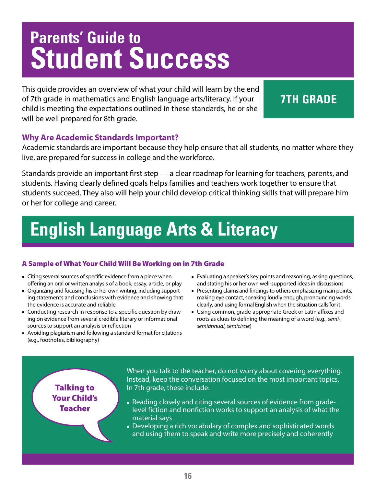This guide provides an overview of what your child will learn by the end of 7th grade in mathematics and English language arts/literacy. If your child is meeting the expectations outlined in these standards, he or she will be well prepared for 8th grade.

### **7TH GRADE**

### **Why Are Academic Standards Important?**

Academic standards are important because they help ensure that all students, no matter where they live, are prepared for success in college and the workforce.

Standards provide an important first step — a clear roadmap for learning for teachers, parents, and students. Having clearly defined goals helps families and teachers work together to ensure that students succeed. They also will help your child develop critical thinking skills that will prepare him or her for college and career.

# **English Language Arts & Literacy**

### A Sample of What Your Child Will Be Working on in 7th Grade

- Citing several sources of specific evidence from a piece when offering an oral or written analysis of a book, essay, article, or play
- Organizing and focusing his or her own writing, including supporting statements and conclusions with evidence and showing that the evidence is accurate and reliable
- Conducting research in response to a specific question by drawing on evidence from several credible literary or informational sources to support an analysis or reflection
- Avoiding plagiarism and following a standard format for citations (e.g., footnotes, bibliography)
- Evaluating a speaker's key points and reasoning, asking questions, and stating his or her own well-supported ideas in discussions
- Presenting claims and findings to others emphasizing main points, making eye contact, speaking loudly enough, pronouncing words clearly, and using formal English when the situation calls for it
- Using common, grade-appropriate Greek or Latin affixes and roots as clues to defining the meaning of a word (e.g., *semi-, semiannual, semicircle*)

Talking to Your Child's Teacher

When you talk to the teacher, do not worry about covering everything. Instead, keep the conversation focused on the most important topics. In 7th grade, these include:

- Reading closely and citing several sources of evidence from gradelevel fiction and nonfiction works to support an analysis of what the material says
- Developing a rich vocabulary of complex and sophisticated words and using them to speak and write more precisely and coherently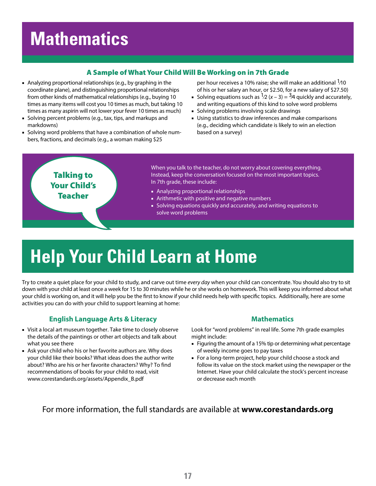#### A Sample of What Your Child Will Be Working on in 7th Grade

- Analyzing proportional relationships (e.g., by graphing in the coordinate plane), and distinguishing proportional relationships from other kinds of mathematical relationships (e.g., buying 10 times as many items will cost you 10 times as much, but taking 10 times as many aspirin will not lower your fever 10 times as much)
- Solving percent problems (e.g., tax, tips, and markups and markdowns)
- Solving word problems that have a combination of whole numbers, fractions, and decimals (e.g., a woman making \$25

per hour receives a 10% raise; she will make an additional  $1/10$ of his or her salary an hour, or \$2.50, for a new salary of \$27.50)

- Solving equations such as  $\frac{1}{2}$  (*x* 3) =  $\frac{3}{4}$  quickly and accurately, and writing equations of this kind to solve word problems
- Solving problems involving scale drawings
- Using statistics to draw inferences and make comparisons (e.g., deciding which candidate is likely to win an election based on a survey)



# **Help Your Child Learn at Home**

Try to create a quiet place for your child to study, and carve out time *every day* when your child can concentrate. You should also try to sit down with your child at least once a week for 15 to 30 minutes while he or she works on homework. This will keep you informed about what your child is working on, and it will help you be the first to know if your child needs help with specific topics. Additionally, here are some activities you can do with your child to support learning at home:

#### **English Language Arts & Literacy**

- Visit a local art museum together. Take time to closely observe the details of the paintings or other art objects and talk about what you see there
- Ask your child who his or her favorite authors are. Why does your child like their books? What ideas does the author write about? Who are his or her favorite characters? Why? To find recommendations of books for your child to read, visit www.corestandards.org/assets/Appendix\_B.pdf

#### **Mathematics**

Look for "word problems" in real life. Some 7th grade examples might include:

- Figuring the amount of a 15% tip or determining what percentage of weekly income goes to pay taxes
- For a long-term project, help your child choose a stock and follow its value on the stock market using the newspaper or the Internet. Have your child calculate the stock's percent increase or decrease each month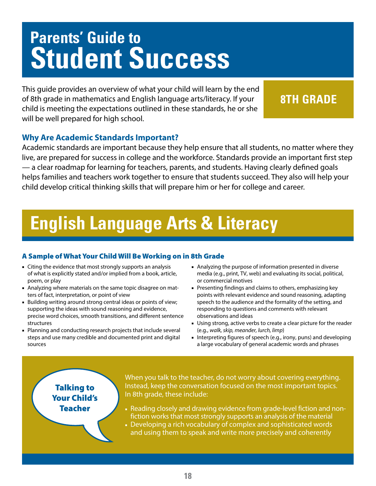This guide provides an overview of what your child will learn by the end of 8th grade in mathematics and English language arts/literacy. If your child is meeting the expectations outlined in these standards, he or she will be well prepared for high school.

### **8TH GRADE**

### **Why Are Academic Standards Important?**

Academic standards are important because they help ensure that all students, no matter where they live, are prepared for success in college and the workforce. Standards provide an important first step — a clear roadmap for learning for teachers, parents, and students. Having clearly defined goals helps families and teachers work together to ensure that students succeed. They also will help your child develop critical thinking skills that will prepare him or her for college and career.

## **English Language Arts & Literacy**

#### A Sample of What Your Child Will Be Working on in 8th Grade

- Citing the evidence that most strongly supports an analysis of what is explicitly stated and/or implied from a book, article, poem, or play
- Analyzing where materials on the same topic disagree on matters of fact, interpretation, or point of view
- Building writing around strong central ideas or points of view; supporting the ideas with sound reasoning and evidence, precise word choices, smooth transitions, and different sentence structures
- Planning and conducting research projects that include several steps and use many credible and documented print and digital sources
- Analyzing the purpose of information presented in diverse media (e.g., print, TV, web) and evaluating its social, political, or commercial motives
- Presenting findings and claims to others, emphasizing key points with relevant evidence and sound reasoning, adapting speech to the audience and the formality of the setting, and responding to questions and comments with relevant observations and ideas
- Using strong, active verbs to create a clear picture for the reader (e.g., *walk, skip, meander, lurch, limp*)
- Interpreting figures of speech (e.g., irony, puns) and developing a large vocabulary of general academic words and phrases

### Talking to Your Child's Teacher

When you talk to the teacher, do not worry about covering everything. Instead, keep the conversation focused on the most important topics. In 8th grade, these include:

- Reading closely and drawing evidence from grade-level fiction and nonfiction works that most strongly supports an analysis of the material
- Developing a rich vocabulary of complex and sophisticated words and using them to speak and write more precisely and coherently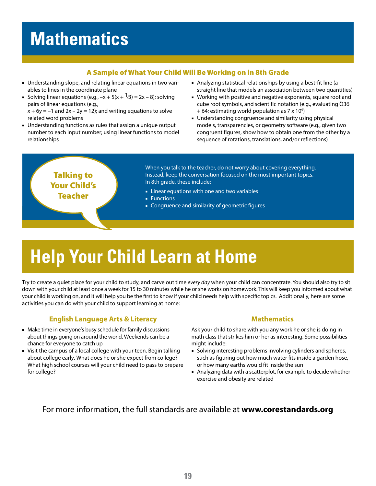#### A Sample of What Your Child Will Be Working on in 8th Grade

- Understanding slope, and relating linear equations in two variables to lines in the coordinate plane
- Solving linear equations (e.g.,  $-x + 5(x + \frac{1}{3}) = 2x 8$ ); solving pairs of linear equations (e.g.,

 $x + 6y = -1$  and  $2x - 2y = 12$ ; and writing equations to solve related word problems

- Understanding functions as rules that assign a unique output number to each input number; using linear functions to model relationships
- Analyzing statistical relationships by using a best-fit line (a straight line that models an association between two quantities)
- Working with positive and negative exponents, square root and cube root symbols, and scientific notation (e.g., evaluating Ö36  $+$  64; estimating world population as 7 x 10<sup>9</sup>)
- Understanding congruence and similarity using physical models, transparencies, or geometry software (e.g., given two congruent figures, show how to obtain one from the other by a sequence of rotations, translations, and/or reflections)



# **Help Your Child Learn at Home**

Try to create a quiet place for your child to study, and carve out time *every day* when your child can concentrate. You should also try to sit down with your child at least once a week for 15 to 30 minutes while he or she works on homework. This will keep you informed about what your child is working on, and it will help you be the first to know if your child needs help with specific topics. Additionally, here are some activities you can do with your child to support learning at home:

#### **English Language Arts & Literacy**

- Make time in everyone's busy schedule for family discussions about things going on around the world. Weekends can be a chance for everyone to catch up
- Visit the campus of a local college with your teen. Begin talking about college early. What does he or she expect from college? What high school courses will your child need to pass to prepare for college?

#### **Mathematics**

Ask your child to share with you any work he or she is doing in math class that strikes him or her as interesting. Some possibilities might include:

- Solving interesting problems involving cylinders and spheres, such as figuring out how much water fits inside a garden hose, or how many earths would fit inside the sun
- Analyzing data with a scatterplot, for example to decide whether exercise and obesity are related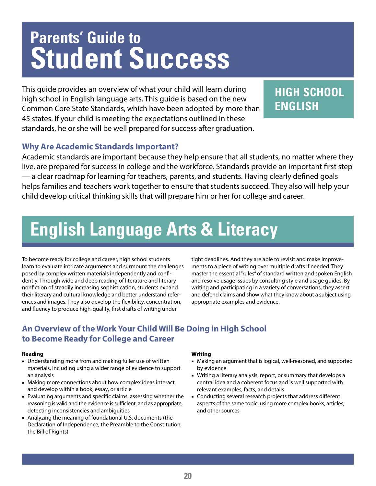This guide provides an overview of what your child will learn during high school in English language arts. This guide is based on the new Common Core State Standards, which have been adopted by more than 45 states. If your child is meeting the expectations outlined in these standards, he or she will be well prepared for success after graduation.

### **HIGH SCHOOL ENGLISH**

### **Why Are Academic Standards Important?**

Academic standards are important because they help ensure that all students, no matter where they live, are prepared for success in college and the workforce. Standards provide an important first step — a clear roadmap for learning for teachers, parents, and students. Having clearly defined goals helps families and teachers work together to ensure that students succeed. They also will help your child develop critical thinking skills that will prepare him or her for college and career.

## **English Language Arts & Literacy**

To become ready for college and career, high school students learn to evaluate intricate arguments and surmount the challenges posed by complex written materials independently and confidently. Through wide and deep reading of literature and literary nonfiction of steadily increasing sophistication, students expand their literary and cultural knowledge and better understand references and images. They also develop the flexibility, concentration, and fluency to produce high-quality, first drafts of writing under

tight deadlines. And they are able to revisit and make improvements to a piece of writing over multiple drafts if needed. They master the essential "rules" of standard written and spoken English and resolve usage issues by consulting style and usage guides. By writing and participating in a variety of conversations, they assert and defend claims and show what they know about a subject using appropriate examples and evidence.

### **An Overview of the Work Your Child Will Be Doing in High School to Become Ready for College and Career**

#### **Reading**

- Understanding more from and making fuller use of written materials, including using a wider range of evidence to support an analysis
- Making more connections about how complex ideas interact and develop within a book, essay, or article
- Evaluating arguments and specific claims, assessing whether the reasoning is valid and the evidence is sufficient, and as appropriate, detecting inconsistencies and ambiguities
- Analyzing the meaning of foundational U.S. documents (the Declaration of Independence, the Preamble to the Constitution, the Bill of Rights)

#### **Writing**

- Making an argument that is logical, well-reasoned, and supported by evidence
- Writing a literary analysis, report, or summary that develops a central idea and a coherent focus and is well supported with relevant examples, facts, and details
- Conducting several research projects that address different aspects of the same topic, using more complex books, articles, and other sources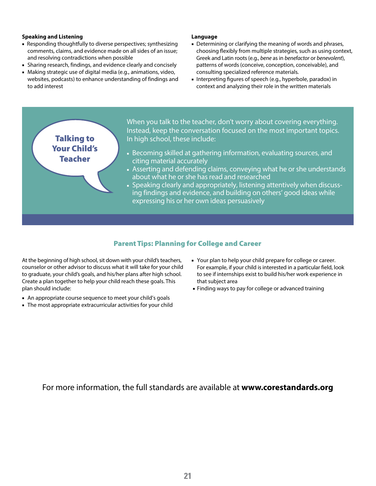#### **Speaking and Listening**

- Responding thoughtfully to diverse perspectives; synthesizing comments, claims, and evidence made on all sides of an issue; and resolving contradictions when possible
- Sharing research, findings, and evidence clearly and concisely
- Making strategic use of digital media (e.g., animations, video, websites, podcasts) to enhance understanding of findings and to add interest

Talking to Your Child's Teacher

#### **Language**

- Determining or clarifying the meaning of words and phrases, choosing flexibly from multiple strategies, such as using context, Greek and Latin roots (e.g., *bene* as in *benefactor* or *benevolent*), patterns of words (conceive, conception, conceivable), and consulting specialized reference materials.
- Interpreting figures of speech (e.g., hyperbole, paradox) in context and analyzing their role in the written materials

When you talk to the teacher, don't worry about covering everything. Instead, keep the conversation focused on the most important topics. In high school, these include:

- Becoming skilled at gathering information, evaluating sources, and citing material accurately
- Asserting and defending claims, conveying what he or she understands about what he or she has read and researched
- Speaking clearly and appropriately, listening attentively when discussing findings and evidence, and building on others' good ideas while expressing his or her own ideas persuasively

#### Parent Tips: Planning for College and Career

At the beginning of high school, sit down with your child's teachers, counselor or other advisor to discuss what it will take for your child to graduate, your child's goals, and his/her plans after high school. Create a plan together to help your child reach these goals. This plan should include:

- An appropriate course sequence to meet your child's goals
- The most appropriate extracurricular activities for your child
- Your plan to help your child prepare for college or career. For example, if your child is interested in a particular field, look to see if internships exist to build his/her work experience in that subject area
- Finding ways to pay for college or advanced training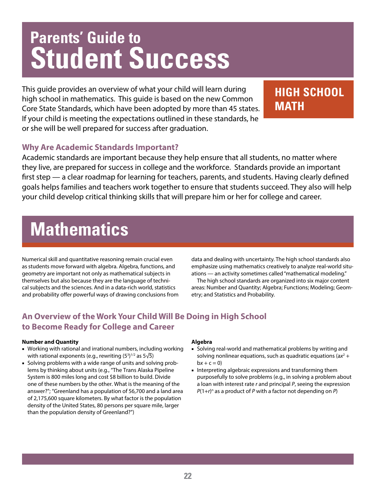This guide provides an overview of what your child will learn during high school in mathematics. This guide is based on the new Common Core State Standards, which have been adopted by more than 45 states. If your child is meeting the expectations outlined in these standards, he or she will be well prepared for success after graduation.

### **HIGH SCHOOL MATH**

### **Why Are Academic Standards Important?**

Academic standards are important because they help ensure that all students, no matter where they live, are prepared for success in college and the workforce. Standards provide an important first step — a clear roadmap for learning for teachers, parents, and students. Having clearly defined goals helps families and teachers work together to ensure that students succeed. They also will help your child develop critical thinking skills that will prepare him or her for college and career.

### **Mathematics**

Numerical skill and quantitative reasoning remain crucial even as students move forward with algebra. Algebra, functions, and geometry are important not only as mathematical subjects in themselves but also because they are the language of technical subjects and the sciences. And in a data-rich world, statistics and probability offer powerful ways of drawing conclusions from data and dealing with uncertainty. The high school standards also emphasize using mathematics creatively to analyze real-world situations — an activity sometimes called "mathematical modeling."

The high school standards are organized into six major content areas: Number and Quantity; Algebra; Functions; Modeling; Geometry; and Statistics and Probability.

### **An Overview of the Work Your Child Will Be Doing in High School to Become Ready for College and Career**

#### **Number and Quantity**

- Working with rational and irrational numbers, including working with rational exponents (e.g., rewriting (53) $^{1/2}$  as 5 $\sqrt{5}$ )
- Solving problems with a wide range of units and solving problems by thinking about units (e.g., "The Trans Alaska Pipeline System is 800 miles long and cost \$8 billion to build. Divide one of these numbers by the other. What is the meaning of the answer?"; "Greenland has a population of 56,700 and a land area of 2,175,600 square kilometers. By what factor is the population density of the United States, 80 persons per square mile, larger than the population density of Greenland?")

#### **Algebra**

- Solving real-world and mathematical problems by writing and solving nonlinear equations, such as quadratic equations  $(ax^2 +$  $bx + c = 0$
- Interpreting algebraic expressions and transforming them purposefully to solve problems (e.g., in solving a problem about a loan with interest rate *r* and principal *P*, seeing the expression *P*(1+*r*) n as a product of *P* with a factor not depending on *P*)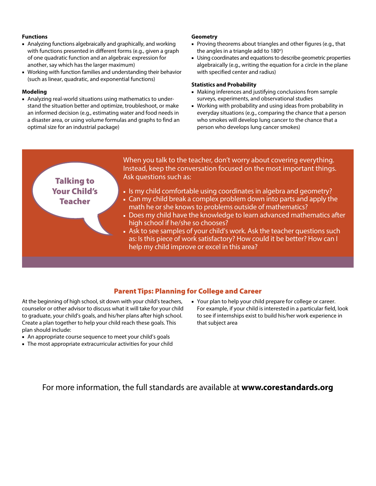#### **Functions**

- Analyzing functions algebraically and graphically, and working with functions presented in different forms (e.g., given a graph of one quadratic function and an algebraic expression for another, say which has the larger maximum)
- Working with function families and understanding their behavior (such as linear, quadratic, and exponential functions)

#### **Modeling**

■ Analyzing real-world situations using mathematics to understand the situation better and optimize, troubleshoot, or make an informed decision (e.g., estimating water and food needs in a disaster area, or using volume formulas and graphs to find an optimal size for an industrial package)

#### **Geometry**

- Proving theorems about triangles and other figures (e.g., that the angles in a triangle add to 180°)
- Using coordinates and equations to describe geometric properties algebraically (e.g., writing the equation for a circle in the plane with specified center and radius)

#### **Statistics and Probability**

- Making inferences and justifying conclusions from sample surveys, experiments, and observational studies
- Working with probability and using ideas from probability in everyday situations (e.g., comparing the chance that a person who smokes will develop lung cancer to the chance that a person who develops lung cancer smokes)



#### Parent Tips: Planning for College and Career

At the beginning of high school, sit down with your child's teachers, counselor or other advisor to discuss what it will take for your child to graduate, your child's goals, and his/her plans after high school. Create a plan together to help your child reach these goals. This plan should include:

- An appropriate course sequence to meet your child's goals
- The most appropriate extracurricular activities for your child
- Your plan to help your child prepare for college or career. For example, if your child is interested in a particular field, look to see if internships exist to build his/her work experience in that subject area